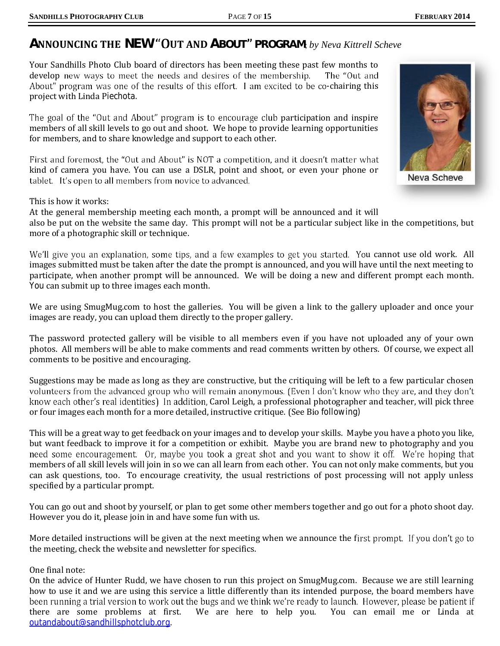## **ANNOUNCING THE NEW "OUT AND ABOUT" PROGRAM:** by Neva Kittrell Scheve

Your Sandhills Photo Club board of directors has been meeting these past few months to develop new ways to meet the needs and desires of the membership. The "Out and About" program was one of the results of this effort. I am excited to be co-chairing this project with Linda Piechota.

The goal of the "Out and About" program is to encourage club participation and inspire members of all skill levels to go out and shoot. We hope to provide learning opportunities for members, and to share knowledge and support to each other.

First and foremost, the "Out and About" is NOT a competition, and it doesn't matter what kind of camera you have. You can use a DSLR, point and shoot, or even your phone or tablet. It's open to all members from novice to advanced.

This is how it works:

At the general membership meeting each month, a prompt will be announced and it will also be put on the website the same day. This prompt will not be a particular subject like in the competitions, but more of a photographic skill or technique.

We'll give you an explanation, some tips, and a few examples to get you started. You cannot use old work. All images submitted must be taken after the date the prompt is announced, and you will have until the next meeting to participate, when another prompt will be announced. We will be doing a new and different prompt each month. You can submit up to three images each month.

We are using SmugMug.com to host the galleries. You will be given a link to the gallery uploader and once your images are ready, you can upload them directly to the proper gallery.

The password protected gallery will be visible to all members even if you have not uploaded any of your own photos. All members will be able to make comments and read comments written by others. Of course, we expect all comments to be positive and encouraging.

Suggestions may be made as long as they are constructive, but the critiquing will be left to a few particular chosen<br>volunteers from the advanced group who will remain anonymous. (Even I don't know who they are, and they d know each other's real identities) In addition, Carol Leigh, a professional photographer and teacher, will pick three or four images each month for a more detailed, instructive critique. (See Bio following)

This will be a great way to get feedback on your images and to develop your skills. Maybe you have a photo you like, but want feedback to improve it for a competition or exhibit. Maybe you are brand new to photography and you<br>need some encouragement. Or, maybe you took a great shot and you want to show it off. We're hoping that members of all skill levels will join in so we can all learn from each other. You can not only make comments, but you can ask questions, too. To encourage creativity, the usual restrictions of post processing will not apply unless specified by a particular prompt.

You can go out and shoot by yourself, or plan to get some other members together and go out for a photo shoot day. However you do it, please join in and have some fun with us.

More detailed instructions will be given at the next meeting when we announce the first prompt. If you don't go to the meeting, check the website and newsletter for specifics.

One final note:

On the advice of Hunter Rudd, we have chosen to run this project on SmugMug.com. Because we are still learning how to use it and we are using this service a little differently than its intended purpose, the board members have been running a trial version to work out the bugs and we think we're ready to launch. However, please be patient if there are some problems at first. We are here to help you. You can email me or Linda at [outandabout@sandhillsphotclub.org.](mailto:outandabout@sandhillsphotclub.org.)